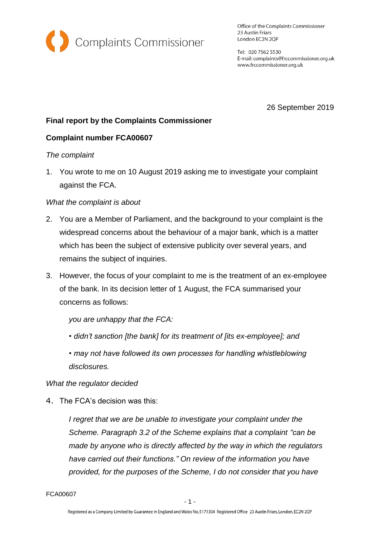

Office of the Complaints Commissioner 23 Austin Friars London EC2N 2QP

Tel: 020 7562 5530 E-mail: complaints@frccommissioner.org.uk www.frccommissioner.org.uk

26 September 2019

# **Final report by the Complaints Commissioner**

## **Complaint number FCA00607**

#### *The complaint*

1. You wrote to me on 10 August 2019 asking me to investigate your complaint against the FCA.

## *What the complaint is about*

- 2. You are a Member of Parliament, and the background to your complaint is the widespread concerns about the behaviour of a major bank, which is a matter which has been the subject of extensive publicity over several years, and remains the subject of inquiries.
- 3. However, the focus of your complaint to me is the treatment of an ex-employee of the bank. In its decision letter of 1 August, the FCA summarised your concerns as follows:

*you are unhappy that the FCA:* 

- *didn't sanction [the bank] for its treatment of [its ex-employee]; and*
- *may not have followed its own processes for handling whistleblowing disclosures.*

#### *What the regulator decided*

4. The FCA's decision was this:

*I regret that we are be unable to investigate your complaint under the Scheme. Paragraph 3.2 of the Scheme explains that a complaint "can be made by anyone who is directly affected by the way in which the regulators have carried out their functions." On review of the information you have provided, for the purposes of the Scheme, I do not consider that you have* 

FCA00607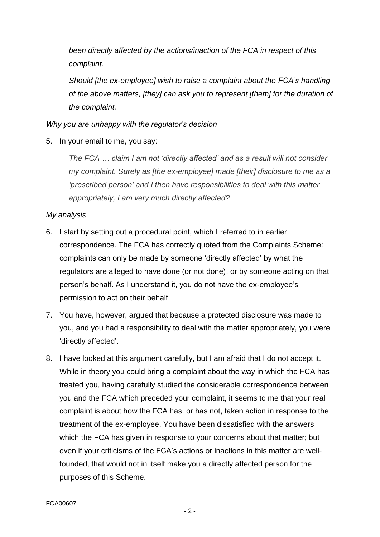*been directly affected by the actions/inaction of the FCA in respect of this complaint.* 

*Should [the ex-employee] wish to raise a complaint about the FCA's handling of the above matters, [they] can ask you to represent [them] for the duration of the complaint.*

## *Why you are unhappy with the regulator's decision*

5. In your email to me, you say:

*The FCA … claim I am not 'directly affected' and as a result will not consider my complaint. Surely as [the ex-employee] made [their] disclosure to me as a 'prescribed person' and I then have responsibilities to deal with this matter appropriately, I am very much directly affected?*

## *My analysis*

- 6. I start by setting out a procedural point, which I referred to in earlier correspondence. The FCA has correctly quoted from the Complaints Scheme: complaints can only be made by someone 'directly affected' by what the regulators are alleged to have done (or not done), or by someone acting on that person's behalf. As I understand it, you do not have the ex-employee's permission to act on their behalf.
- 7. You have, however, argued that because a protected disclosure was made to you, and you had a responsibility to deal with the matter appropriately, you were 'directly affected'.
- 8. I have looked at this argument carefully, but I am afraid that I do not accept it. While in theory you could bring a complaint about the way in which the FCA has treated you, having carefully studied the considerable correspondence between you and the FCA which preceded your complaint, it seems to me that your real complaint is about how the FCA has, or has not, taken action in response to the treatment of the ex-employee. You have been dissatisfied with the answers which the FCA has given in response to your concerns about that matter; but even if your criticisms of the FCA's actions or inactions in this matter are wellfounded, that would not in itself make you a directly affected person for the purposes of this Scheme.